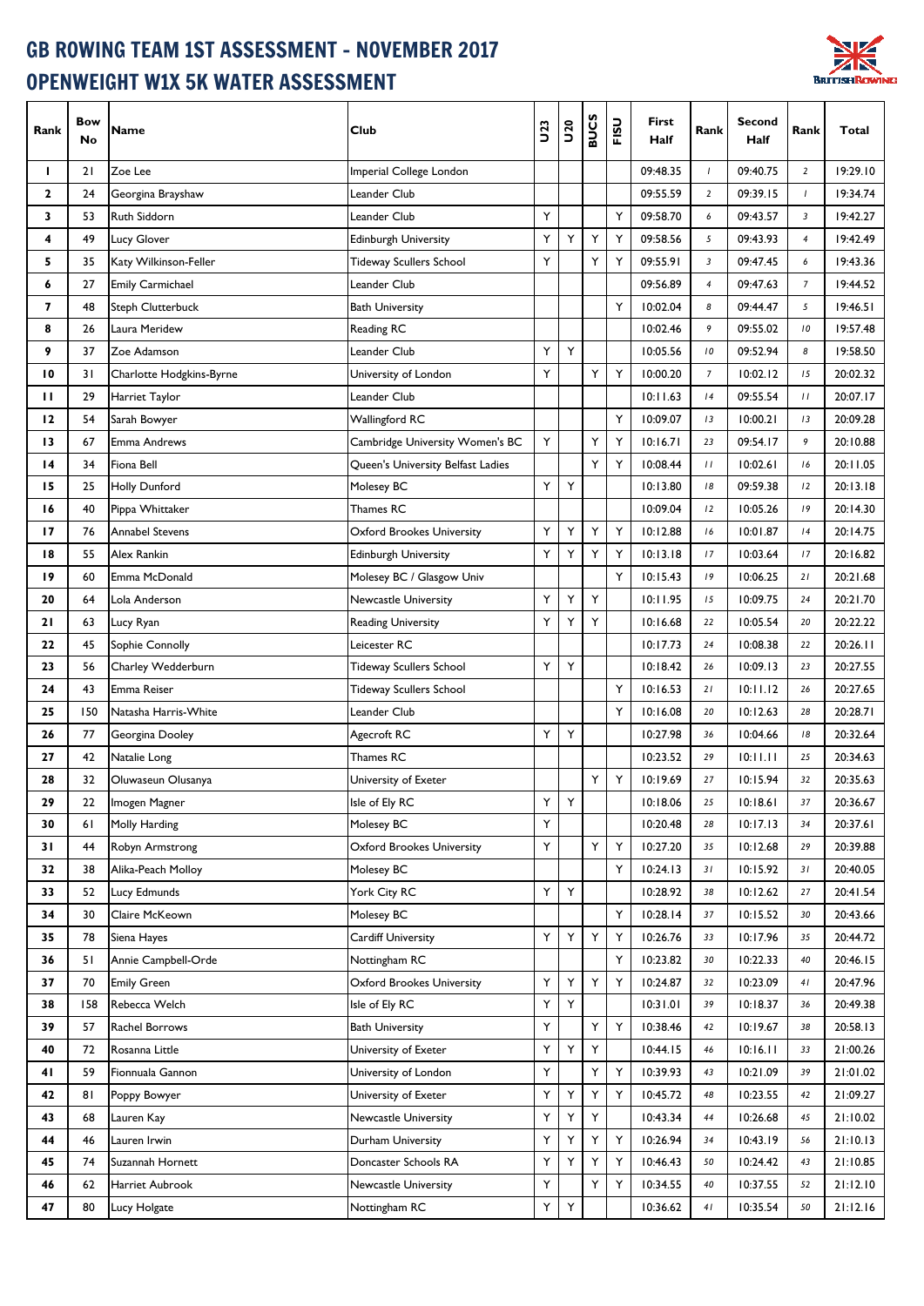## GB ROWING TEAM 1ST ASSESSMENT - NOVEMBER 2017 OPENWEIGHT W1X 5K WATER ASSESSMENT



| Rank            | <b>Bow</b><br>No | Name                     | Club                              | <b>U23</b> | <b>U20</b> | <b>BUCS</b> | FISU | First<br>Half | Rank           | <b>Second</b><br>Half | Rank           | Total    |
|-----------------|------------------|--------------------------|-----------------------------------|------------|------------|-------------|------|---------------|----------------|-----------------------|----------------|----------|
| ı               | 21               | Zoe Lee                  | Imperial College London           |            |            |             |      | 09:48.35      | $\overline{1}$ | 09:40.75              | $\overline{2}$ | 19:29.10 |
| 2               | 24               | Georgina Brayshaw        | Leander Club                      |            |            |             |      | 09:55.59      | 2              | 09:39.15              | $\mathbf{I}$   | 19:34.74 |
| 3               | 53               | Ruth Siddorn             | Leander Club                      | Υ          |            |             | Y    | 09:58.70      | 6              | 09:43.57              | $\mathbf{3}$   | 19:42.27 |
| 4               | 49               | Lucy Glover              | <b>Edinburgh University</b>       | Υ          | Υ          | Y           | Υ    | 09:58.56      | 5              | 09:43.93              | $\overline{4}$ | 19:42.49 |
| 5               | 35               | Katy Wilkinson-Feller    | Tideway Scullers School           | Υ          |            | Y           | Υ    | 09:55.91      | $\overline{3}$ | 09:47.45              | 6              | 19:43.36 |
| 6               | 27               | <b>Emily Carmichael</b>  | Leander Club                      |            |            |             |      | 09:56.89      | $\overline{4}$ | 09:47.63              | $\overline{7}$ | 19:44.52 |
| 7               | 48               | Steph Clutterbuck        | <b>Bath University</b>            |            |            |             | Y    | 10:02.04      | 8              | 09:44.47              | 5              | 19:46.51 |
| 8               | 26               | Laura Meridew            | Reading RC                        |            |            |             |      | 10:02.46      | 9              | 09:55.02              | ${\cal I}$ 0   | 19:57.48 |
| 9               | 37               | Zoe Adamson              | Leander Club                      | Υ          | Υ          |             |      | 10:05.56      | 10             | 09:52.94              | 8              | 19:58.50 |
| 10              | 31               | Charlotte Hodgkins-Byrne | University of London              | Υ          |            | Y           | Υ    | 10:00.20      | $\overline{7}$ | 10:02.12              | 15             | 20:02.32 |
| п               | 29               | Harriet Taylor           | Leander Club                      |            |            |             |      | 10:11.63      | 4              | 09:55.54              | $\frac{1}{2}$  | 20:07.17 |
| $\overline{12}$ | 54               | Sarah Bowyer             | Wallingford RC                    |            |            |             | Υ    | 10:09.07      | 13             | 10:00.21              | 13             | 20:09.28 |
| 13              | 67               | Emma Andrews             | Cambridge University Women's BC   | Υ          |            | Y           | Υ    | 10:16.71      | 23             | 09:54.17              | 9              | 20:10.88 |
| 14              | 34               | Fiona Bell               | Queen's University Belfast Ladies |            |            | Y           | Y    | 10:08.44      | $\frac{1}{2}$  | 10:02.61              | 16             | 20:11.05 |
| 15              | 25               | Holly Dunford            | Molesey BC                        | Υ          | Υ          |             |      | 10:13.80      | 18             | 09:59.38              | 12             | 20:13.18 |
| 16              | 40               | Pippa Whittaker          | Thames RC                         |            |            |             |      | 10:09.04      | 12             | 10:05.26              | 19             | 20:14.30 |
| 17              | 76               | Annabel Stevens          | <b>Oxford Brookes University</b>  | Υ          | Υ          | Y           | Υ    | 10:12.88      | 16             | 10:01.87              | 4              | 20:14.75 |
| 18              | 55               | Alex Rankin              | <b>Edinburgh University</b>       | Υ          | Υ          | Y           | Υ    | 10:13.18      | 17             | 10:03.64              | 17             | 20:16.82 |
| 19              | 60               | Emma McDonald            | Molesey BC / Glasgow Univ         |            |            |             | Y    | 10:15.43      | 19             | 10:06.25              | $21$           | 20:21.68 |
| 20              | 64               | Lola Anderson            | Newcastle University              | Υ          | Υ          | Y           |      | 10:11.95      | 15             | 10:09.75              | 24             | 20:21.70 |
| 21              | 63               | Lucy Ryan                | <b>Reading University</b>         | Υ          | Υ          | Y           |      | 10:16.68      | 22             | 10:05.54              | 20             | 20:22.22 |
| 22              | 45               | Sophie Connolly          | Leicester RC                      |            |            |             |      | 10:17.73      | 24             | 10:08.38              | 22             | 20:26.11 |
| 23              | 56               | Charley Wedderburn       | Tideway Scullers School           | Υ          | Υ          |             |      | 10:18.42      | 26             | 10:09.13              | 23             | 20:27.55 |
| 24              | 43               | Emma Reiser              | Tideway Scullers School           |            |            |             | Y    | 10:16.53      | 21             | 10:11.12              | 26             | 20:27.65 |
| 25              | 150              | Natasha Harris-White     | Leander Club                      |            |            |             | Y    | 10:16.08      | 20             | 10:12.63              | 28             | 20:28.71 |
| 26              | 77               | Georgina Dooley          | Agecroft RC                       | Υ          | Υ          |             |      | 10:27.98      | 36             | 10:04.66              | 18             | 20:32.64 |
| 27              | 42               | Natalie Long             | Thames RC                         |            |            |             |      | 10:23.52      | 29             | 10:11.11              | 25             | 20:34.63 |
| 28              | 32               | Oluwaseun Olusanya       | University of Exeter              |            |            | Y           | Υ    | 10:19.69      | 27             | 10:15.94              | 32             | 20:35.63 |
| 29              | 22               | Imogen Magner            | Isle of Ely RC                    | Υ          | Υ          |             |      | 10:18.06      | 25             | 10:18.61              | 37             | 20:36.67 |
| 30              | 6 I              | Molly Harding            | Molesey BC                        | Υ          |            |             |      | 10:20.48      | 28             | 10:17.13              | 34             | 20:37.61 |
| 31              | 44               | Robyn Armstrong          | Oxford Brookes University         | Υ          |            | Y           | Υ    | 10:27.20      | 35             | 10:12.68              | 29             | 20:39.88 |
| 32              | 38               | Alika-Peach Molloy       | Molesey BC                        |            |            |             | Υ    | 10:24.13      | 31             | 10:15.92              | 31             | 20:40.05 |
| 33              | 52               | Lucy Edmunds             | York City RC                      | Y          | Y          |             |      | 10:28.92      | 38             | 10:12.62              | 27             | 20:41.54 |
| 34              | 30               | Claire McKeown           | Molesey BC                        |            |            |             | Υ    | 10:28.14      | 37             | 10:15.52              | 30             | 20:43.66 |
| 35              | 78               | Siena Hayes              | Cardiff University                | Υ          | Υ          | Y           | Υ    | 10:26.76      | 33             | 10:17.96              | 35             | 20:44.72 |
| 36              | 51               | Annie Campbell-Orde      | Nottingham RC                     |            |            |             | Υ    | 10:23.82      | 30             | 10:22.33              | 40             | 20:46.15 |
| 37              | 70               | <b>Emily Green</b>       | <b>Oxford Brookes University</b>  | Υ          | Y          | Y           | Υ    | 10:24.87      | 32             | 10:23.09              | 41             | 20:47.96 |
| 38              | 158              | Rebecca Welch            | Isle of Ely RC                    | Υ          | Υ          |             |      | 10:31.01      | 39             | 10:18.37              | 36             | 20:49.38 |
| 39              | 57               | Rachel Borrows           | <b>Bath University</b>            | Υ          |            | Y           | Υ    | 10:38.46      | 42             | 10:19.67              | 38             | 20:58.13 |
| 40              | 72               | Rosanna Little           | University of Exeter              | Υ          | Υ          | Y           |      | 10:44.15      | 46             | 10:16.11              | 33             | 21:00.26 |
| 41              | 59               | Fionnuala Gannon         | University of London              | Υ          |            | Υ           | Υ    | 10:39.93      | 43             | 10:21.09              | 39             | 21:01.02 |
| 42              | 81               | Poppy Bowyer             | University of Exeter              | Υ          | Υ          | Y           | Υ    | 10:45.72      | 48             | 10:23.55              | 42             | 21:09.27 |
| 43              | 68               | Lauren Kay               | Newcastle University              | Υ          | Υ          | Υ           |      | 10:43.34      | 44             | 10:26.68              | 45             | 21:10.02 |
| 44              | 46               | Lauren Irwin             | Durham University                 | Υ          | Y          | Y           | Υ    | 10:26.94      | 34             | 10:43.19              | 56             | 21:10.13 |
| 45              | 74               | Suzannah Hornett         | Doncaster Schools RA              | Υ          | Υ          | Y           | Υ    | 10:46.43      | 50             | 10:24.42              | 43             | 21:10.85 |
| 46              | 62               | Harriet Aubrook          | Newcastle University              | Υ          |            | Y           | Υ    | 10:34.55      | 40             | 10:37.55              | 52             | 21:12.10 |
| 47              | 80               | Lucy Holgate             | Nottingham RC                     | Y          | Υ          |             |      | 10:36.62      | 41             | 10:35.54              | 50             | 21:12.16 |